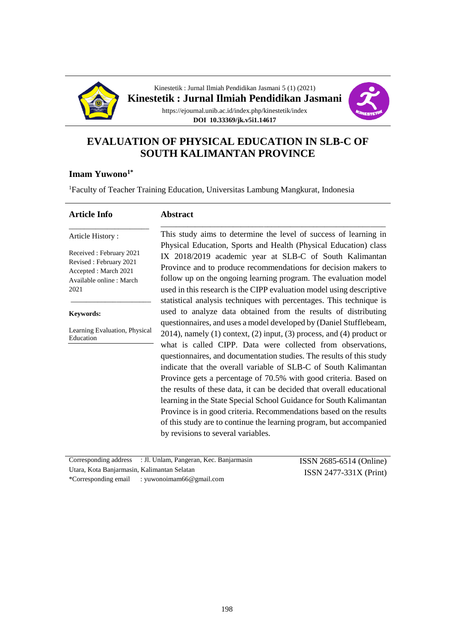



# **EVALUATION OF PHYSICAL EDUCATION IN SLB-C OF SOUTH KALIMANTAN PROVINCE**

## **Imam Yuwono1\***

<sup>1</sup>Faculty of Teacher Training Education, Universitas Lambung Mangkurat, Indonesia

#### **Article Info**

#### **Abstract** \_\_\_\_\_\_\_\_\_\_\_\_\_\_\_\_\_\_\_\_\_\_\_\_\_\_\_\_\_\_\_\_\_\_\_\_\_\_\_\_\_\_\_\_\_\_\_\_\_\_\_\_\_\_\_\_\_\_\_

Article History : Received : February 2021

Revised : February 2021 Accepted : March 2021 Available online : March 2021

\_\_\_\_\_\_\_\_\_\_\_\_\_\_\_\_\_\_\_\_\_

**Keywords:**

Learning Evaluation, Physical Education

\_\_\_\_\_\_\_\_\_\_\_\_\_\_\_\_\_\_\_\_\_

This study aims to determine the level of success of learning in Physical Education, Sports and Health (Physical Education) class IX 2018/2019 academic year at SLB-C of South Kalimantan Province and to produce recommendations for decision makers to follow up on the ongoing learning program. The evaluation model used in this research is the CIPP evaluation model using descriptive statistical analysis techniques with percentages. This technique is used to analyze data obtained from the results of distributing questionnaires, and uses a model developed by (Daniel Stufflebeam, 2014), namely (1) context, (2) input, (3) process, and (4) product or what is called CIPP. Data were collected from observations, questionnaires, and documentation studies. The results of this study indicate that the overall variable of SLB-C of South Kalimantan Province gets a percentage of 70.5% with good criteria. Based on the results of these data, it can be decided that overall educational learning in the State Special School Guidance for South Kalimantan Province is in good criteria. Recommendations based on the results of this study are to continue the learning program, but accompanied by revisions to several variables.

Corresponding address : Jl. Unlam, Pangeran, Kec. Banjarmasin Utara, Kota Banjarmasin, Kalimantan Selatan \*Corresponding email : yuwonoimam66@gmail.com

ISSN 2685-6514 (Online) ISSN 2477-331X (Print)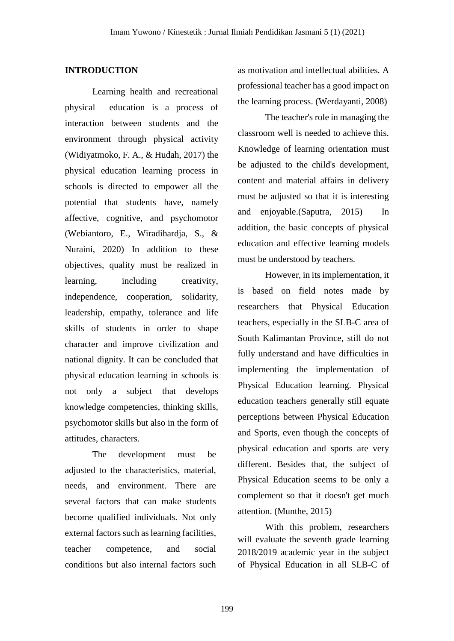#### **INTRODUCTION**

Learning health and recreational physical education is a process of interaction between students and the environment through physical activity (Widiyatmoko, F. A., & Hudah, 2017) the physical education learning process in schools is directed to empower all the potential that students have, namely affective, cognitive, and psychomotor (Webiantoro, E., Wiradihardja, S., & Nuraini, 2020) In addition to these objectives, quality must be realized in learning, including creativity, independence, cooperation, solidarity, leadership, empathy, tolerance and life skills of students in order to shape character and improve civilization and national dignity. It can be concluded that physical education learning in schools is not only a subject that develops knowledge competencies, thinking skills, psychomotor skills but also in the form of attitudes, characters.

The development must be adjusted to the characteristics, material, needs, and environment. There are several factors that can make students become qualified individuals. Not only external factors such as learning facilities, teacher competence, and social conditions but also internal factors such

as motivation and intellectual abilities. A professional teacher has a good impact on the learning process. (Werdayanti, 2008)

The teacher's role in managing the classroom well is needed to achieve this. Knowledge of learning orientation must be adjusted to the child's development, content and material affairs in delivery must be adjusted so that it is interesting and enjoyable.(Saputra, 2015) In addition, the basic concepts of physical education and effective learning models must be understood by teachers.

However, in its implementation, it is based on field notes made by researchers that Physical Education teachers, especially in the SLB-C area of South Kalimantan Province, still do not fully understand and have difficulties in implementing the implementation of Physical Education learning. Physical education teachers generally still equate perceptions between Physical Education and Sports, even though the concepts of physical education and sports are very different. Besides that, the subject of Physical Education seems to be only a complement so that it doesn't get much attention. (Munthe, 2015)

With this problem, researchers will evaluate the seventh grade learning 2018/2019 academic year in the subject of Physical Education in all SLB-C of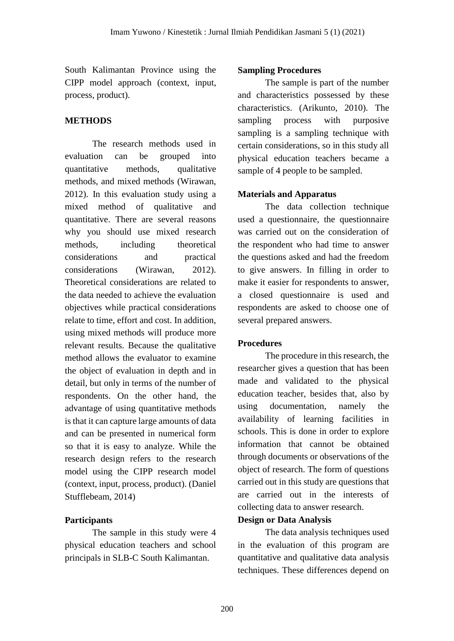South Kalimantan Province using the CIPP model approach (context, input, process, product).

## **METHODS**

The research methods used in evaluation can be grouped into quantitative methods, qualitative methods, and mixed methods (Wirawan, 2012). In this evaluation study using a mixed method of qualitative and quantitative. There are several reasons why you should use mixed research methods, including theoretical considerations and practical considerations (Wirawan, 2012). Theoretical considerations are related to the data needed to achieve the evaluation objectives while practical considerations relate to time, effort and cost. In addition, using mixed methods will produce more relevant results. Because the qualitative method allows the evaluator to examine the object of evaluation in depth and in detail, but only in terms of the number of respondents. On the other hand, the advantage of using quantitative methods is that it can capture large amounts of data and can be presented in numerical form so that it is easy to analyze. While the research design refers to the research model using the CIPP research model (context, input, process, product). (Daniel Stufflebeam, 2014)

# **Participants**

The sample in this study were 4 physical education teachers and school principals in SLB-C South Kalimantan.

## **Sampling Procedures**

The sample is part of the number and characteristics possessed by these characteristics. (Arikunto, 2010). The sampling process with purposive sampling is a sampling technique with certain considerations, so in this study all physical education teachers became a sample of 4 people to be sampled.

## **Materials and Apparatus**

The data collection technique used a questionnaire, the questionnaire was carried out on the consideration of the respondent who had time to answer the questions asked and had the freedom to give answers. In filling in order to make it easier for respondents to answer, a closed questionnaire is used and respondents are asked to choose one of several prepared answers.

## **Procedures**

The procedure in this research, the researcher gives a question that has been made and validated to the physical education teacher, besides that, also by using documentation, namely the availability of learning facilities in schools. This is done in order to explore information that cannot be obtained through documents or observations of the object of research. The form of questions carried out in this study are questions that are carried out in the interests of collecting data to answer research.

## **Design or Data Analysis**

The data analysis techniques used in the evaluation of this program are quantitative and qualitative data analysis techniques. These differences depend on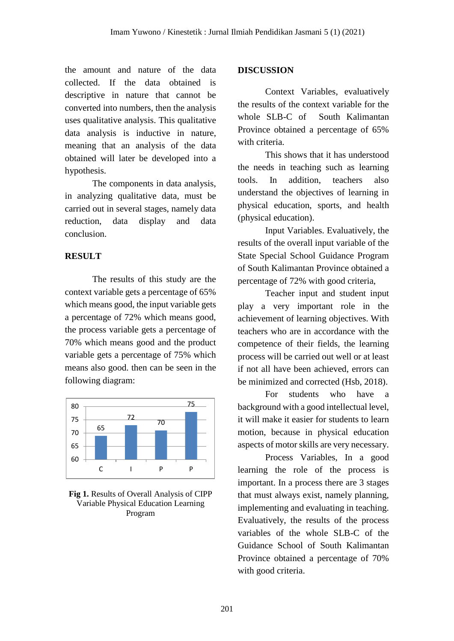the amount and nature of the data collected. If the data obtained is descriptive in nature that cannot be converted into numbers, then the analysis uses qualitative analysis. This qualitative data analysis is inductive in nature, meaning that an analysis of the data obtained will later be developed into a hypothesis.

The components in data analysis, in analyzing qualitative data, must be carried out in several stages, namely data reduction, data display and data conclusion.

## **RESULT**

The results of this study are the context variable gets a percentage of 65% which means good, the input variable gets a percentage of 72% which means good, the process variable gets a percentage of 70% which means good and the product variable gets a percentage of 75% which means also good. then can be seen in the following diagram:



**Fig 1.** Results of Overall Analysis of CIPP Variable Physical Education Learning Program

#### **DISCUSSION**

Context Variables, evaluatively the results of the context variable for the whole SLB-C of South Kalimantan Province obtained a percentage of 65% with criteria.

This shows that it has understood the needs in teaching such as learning tools. In addition, teachers also understand the objectives of learning in physical education, sports, and health (physical education).

Input Variables. Evaluatively, the results of the overall input variable of the State Special School Guidance Program of South Kalimantan Province obtained a percentage of 72% with good criteria,

Teacher input and student input play a very important role in the achievement of learning objectives. With teachers who are in accordance with the competence of their fields, the learning process will be carried out well or at least if not all have been achieved, errors can be minimized and corrected (Hsb, 2018).

For students who have a background with a good intellectual level, it will make it easier for students to learn motion, because in physical education aspects of motor skills are very necessary.

Process Variables, In a good learning the role of the process is important. In a process there are 3 stages that must always exist, namely planning, implementing and evaluating in teaching. Evaluatively, the results of the process variables of the whole SLB-C of the Guidance School of South Kalimantan Province obtained a percentage of 70% with good criteria.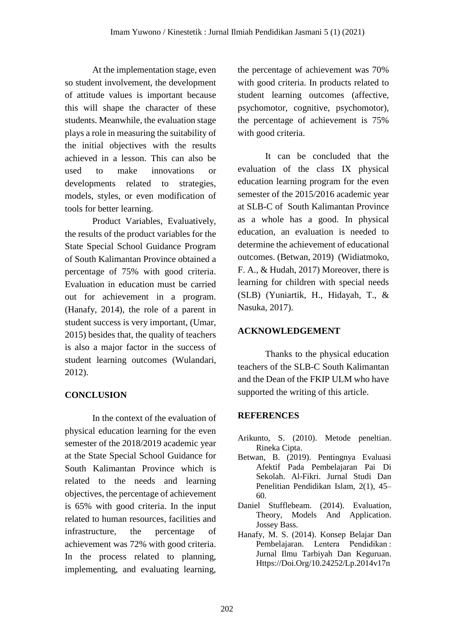At the implementation stage, even so student involvement, the development of attitude values is important because this will shape the character of these students. Meanwhile, the evaluation stage plays a role in measuring the suitability of the initial objectives with the results achieved in a lesson. This can also be used to make innovations or developments related to strategies, models, styles, or even modification of tools for better learning.

Product Variables, Evaluatively, the results of the product variables for the State Special School Guidance Program of South Kalimantan Province obtained a percentage of 75% with good criteria. Evaluation in education must be carried out for achievement in a program. (Hanafy, 2014), the role of a parent in student success is very important, (Umar, 2015) besides that, the quality of teachers is also a major factor in the success of student learning outcomes (Wulandari, 2012).

# **CONCLUSION**

In the context of the evaluation of physical education learning for the even semester of the 2018/2019 academic year at the State Special School Guidance for South Kalimantan Province which is related to the needs and learning objectives, the percentage of achievement is 65% with good criteria. In the input related to human resources, facilities and infrastructure, the percentage of achievement was 72% with good criteria. In the process related to planning, implementing, and evaluating learning,

the percentage of achievement was 70% with good criteria. In products related to student learning outcomes (affective, psychomotor, cognitive, psychomotor), the percentage of achievement is 75% with good criteria.

It can be concluded that the evaluation of the class IX physical education learning program for the even semester of the 2015/2016 academic year at SLB-C of South Kalimantan Province as a whole has a good. In physical education, an evaluation is needed to determine the achievement of educational outcomes. (Betwan, 2019) (Widiatmoko, F. A., & Hudah, 2017) Moreover, there is learning for children with special needs (SLB) (Yuniartik, H., Hidayah, T., & Nasuka, 2017).

# **ACKNOWLEDGEMENT**

Thanks to the physical education teachers of the SLB-C South Kalimantan and the Dean of the FKIP ULM who have supported the writing of this article.

# **REFERENCES**

- Arikunto, S. (2010). Metode peneltian. Rineka Cipta.
- Betwan, B. (2019). Pentingnya Evaluasi Afektif Pada Pembelajaran Pai Di Sekolah. Al-Fikri. Jurnal Studi Dan Penelitian Pendidikan Islam, 2(1), 45– 60.
- Daniel Stufflebeam. (2014). Evaluation, Theory, Models And Application. Jossey Bass.
- Hanafy, M. S. (2014). Konsep Belajar Dan Pembelajaran. Lentera Pendidikan : Jurnal Ilmu Tarbiyah Dan Keguruan. Https://Doi.Org/10.24252/Lp.2014v17n